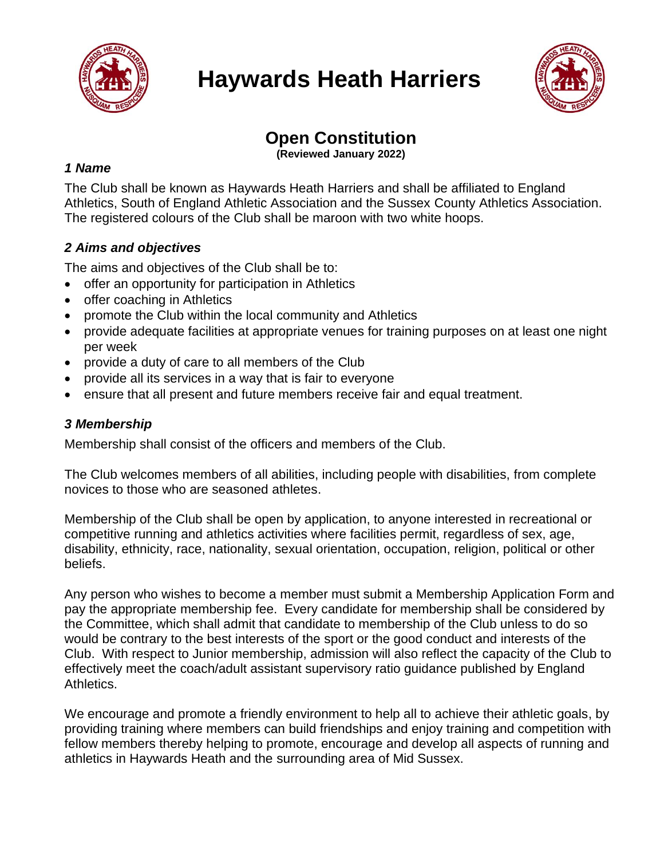

# **Haywards Heath Harriers**



# **Open Constitution**

**(Reviewed January 2022)**

# *1 Name*

The Club shall be known as Haywards Heath Harriers and shall be affiliated to England Athletics, South of England Athletic Association and the Sussex County Athletics Association. The registered colours of the Club shall be maroon with two white hoops.

# *2 Aims and objectives*

The aims and objectives of the Club shall be to:

- offer an opportunity for participation in Athletics
- offer coaching in Athletics
- promote the Club within the local community and Athletics
- provide adequate facilities at appropriate venues for training purposes on at least one night per week
- provide a duty of care to all members of the Club
- provide all its services in a way that is fair to everyone
- ensure that all present and future members receive fair and equal treatment.

# *3 Membership*

Membership shall consist of the officers and members of the Club.

The Club welcomes members of all abilities, including people with disabilities, from complete novices to those who are seasoned athletes.

Membership of the Club shall be open by application, to anyone interested in recreational or competitive running and athletics activities where facilities permit, regardless of sex, age, disability, ethnicity, race, nationality, sexual orientation, occupation, religion, political or other beliefs.

Any person who wishes to become a member must submit a Membership Application Form and pay the appropriate membership fee. Every candidate for membership shall be considered by the Committee, which shall admit that candidate to membership of the Club unless to do so would be contrary to the best interests of the sport or the good conduct and interests of the Club. With respect to Junior membership, admission will also reflect the capacity of the Club to effectively meet the coach/adult assistant supervisory ratio guidance published by England Athletics.

We encourage and promote a friendly environment to help all to achieve their athletic goals, by providing training where members can build friendships and enjoy training and competition with fellow members thereby helping to promote, encourage and develop all aspects of running and athletics in Haywards Heath and the surrounding area of Mid Sussex.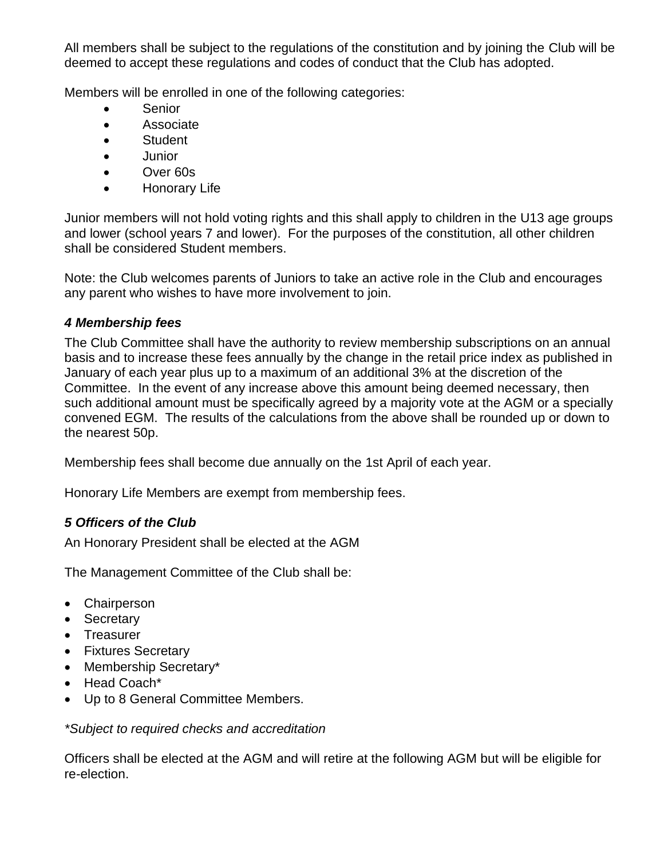All members shall be subject to the regulations of the constitution and by joining the Club will be deemed to accept these regulations and codes of conduct that the Club has adopted.

Members will be enrolled in one of the following categories:

- **Senior**
- Associate
- Student
- Junior
- Over 60s
- Honorary Life

Junior members will not hold voting rights and this shall apply to children in the U13 age groups and lower (school years 7 and lower). For the purposes of the constitution, all other children shall be considered Student members.

Note: the Club welcomes parents of Juniors to take an active role in the Club and encourages any parent who wishes to have more involvement to join.

### *4 Membership fees*

The Club Committee shall have the authority to review membership subscriptions on an annual basis and to increase these fees annually by the change in the retail price index as published in January of each year plus up to a maximum of an additional 3% at the discretion of the Committee. In the event of any increase above this amount being deemed necessary, then such additional amount must be specifically agreed by a majority vote at the AGM or a specially convened EGM. The results of the calculations from the above shall be rounded up or down to the nearest 50p.

Membership fees shall become due annually on the 1st April of each year.

Honorary Life Members are exempt from membership fees.

# *5 Officers of the Club*

An Honorary President shall be elected at the AGM

The Management Committee of the Club shall be:

- Chairperson
- Secretary
- Treasurer
- Fixtures Secretary
- Membership Secretary\*
- Head Coach\*
- Up to 8 General Committee Members.

#### *\*Subject to required checks and accreditation*

Officers shall be elected at the AGM and will retire at the following AGM but will be eligible for re-election.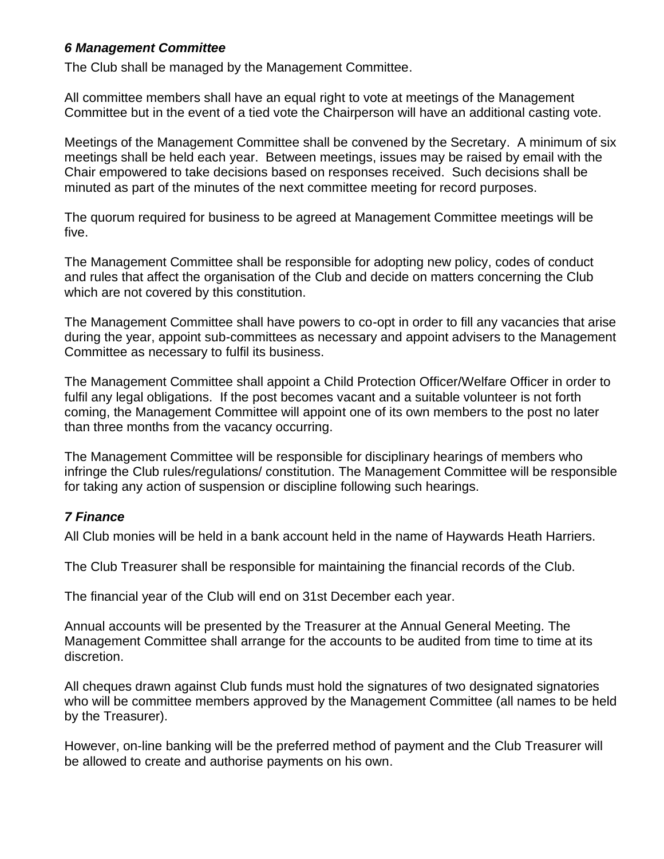# *6 Management Committee*

The Club shall be managed by the Management Committee.

All committee members shall have an equal right to vote at meetings of the Management Committee but in the event of a tied vote the Chairperson will have an additional casting vote.

Meetings of the Management Committee shall be convened by the Secretary. A minimum of six meetings shall be held each year. Between meetings, issues may be raised by email with the Chair empowered to take decisions based on responses received. Such decisions shall be minuted as part of the minutes of the next committee meeting for record purposes.

The quorum required for business to be agreed at Management Committee meetings will be five.

The Management Committee shall be responsible for adopting new policy, codes of conduct and rules that affect the organisation of the Club and decide on matters concerning the Club which are not covered by this constitution.

The Management Committee shall have powers to co-opt in order to fill any vacancies that arise during the year, appoint sub-committees as necessary and appoint advisers to the Management Committee as necessary to fulfil its business.

The Management Committee shall appoint a Child Protection Officer/Welfare Officer in order to fulfil any legal obligations. If the post becomes vacant and a suitable volunteer is not forth coming, the Management Committee will appoint one of its own members to the post no later than three months from the vacancy occurring.

The Management Committee will be responsible for disciplinary hearings of members who infringe the Club rules/regulations/ constitution. The Management Committee will be responsible for taking any action of suspension or discipline following such hearings.

#### *7 Finance*

All Club monies will be held in a bank account held in the name of Haywards Heath Harriers.

The Club Treasurer shall be responsible for maintaining the financial records of the Club.

The financial year of the Club will end on 31st December each year.

Annual accounts will be presented by the Treasurer at the Annual General Meeting. The Management Committee shall arrange for the accounts to be audited from time to time at its discretion.

All cheques drawn against Club funds must hold the signatures of two designated signatories who will be committee members approved by the Management Committee (all names to be held by the Treasurer).

However, on-line banking will be the preferred method of payment and the Club Treasurer will be allowed to create and authorise payments on his own.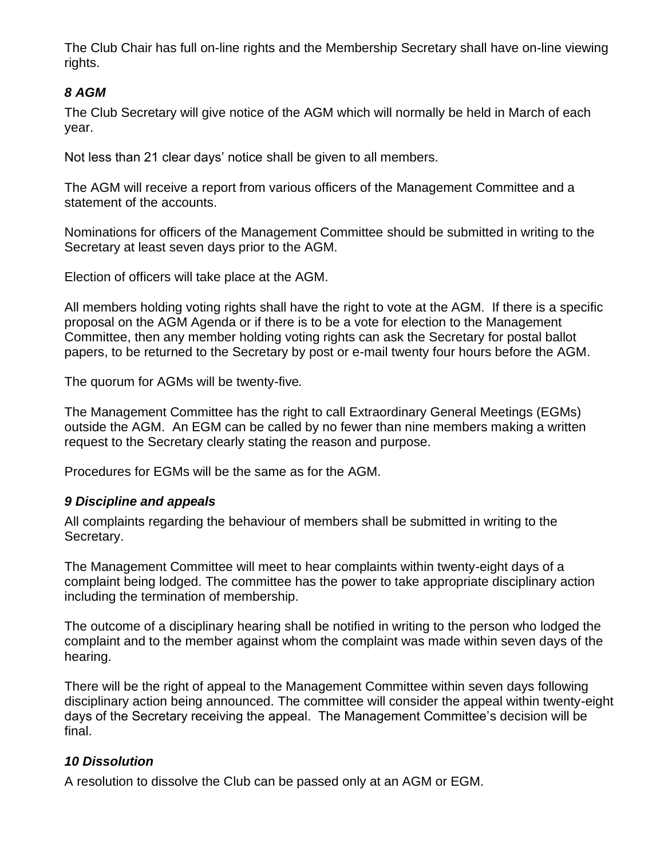The Club Chair has full on-line rights and the Membership Secretary shall have on-line viewing rights.

# *8 AGM*

The Club Secretary will give notice of the AGM which will normally be held in March of each year.

Not less than 21 clear days' notice shall be given to all members.

The AGM will receive a report from various officers of the Management Committee and a statement of the accounts.

Nominations for officers of the Management Committee should be submitted in writing to the Secretary at least seven days prior to the AGM.

Election of officers will take place at the AGM.

All members holding voting rights shall have the right to vote at the AGM. If there is a specific proposal on the AGM Agenda or if there is to be a vote for election to the Management Committee, then any member holding voting rights can ask the Secretary for postal ballot papers, to be returned to the Secretary by post or e-mail twenty four hours before the AGM.

The quorum for AGMs will be twenty-five*.*

The Management Committee has the right to call Extraordinary General Meetings (EGMs) outside the AGM. An EGM can be called by no fewer than nine members making a written request to the Secretary clearly stating the reason and purpose.

Procedures for EGMs will be the same as for the AGM.

#### *9 Discipline and appeals*

All complaints regarding the behaviour of members shall be submitted in writing to the Secretary.

The Management Committee will meet to hear complaints within twenty-eight days of a complaint being lodged. The committee has the power to take appropriate disciplinary action including the termination of membership.

The outcome of a disciplinary hearing shall be notified in writing to the person who lodged the complaint and to the member against whom the complaint was made within seven days of the hearing.

There will be the right of appeal to the Management Committee within seven days following disciplinary action being announced. The committee will consider the appeal within twenty-eight days of the Secretary receiving the appeal. The Management Committee's decision will be final.

#### *10 Dissolution*

A resolution to dissolve the Club can be passed only at an AGM or EGM.